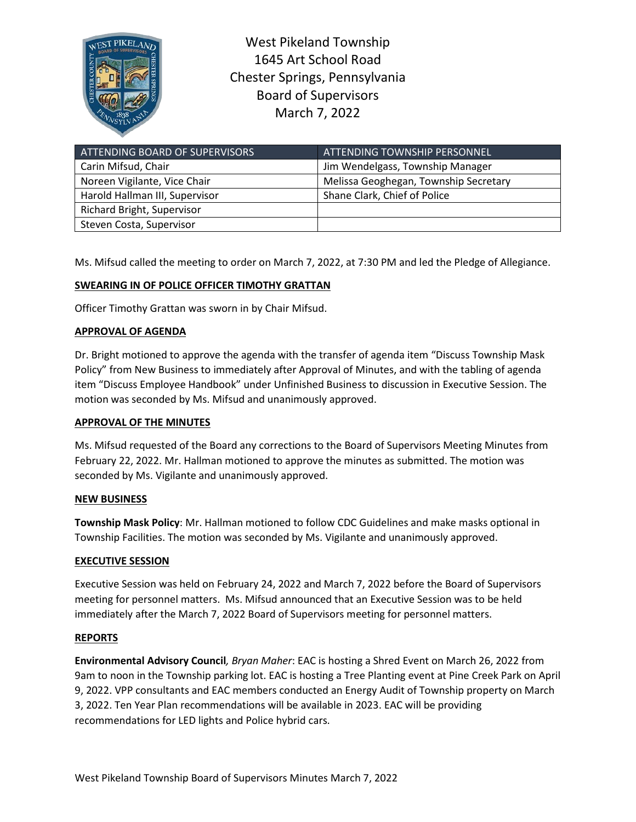

West Pikeland Township 1645 Art School Road Chester Springs, Pennsylvania Board of Supervisors March 7, 2022

| ATTENDING BOARD OF SUPERVISORS | ATTENDING TOWNSHIP PERSONNEL          |
|--------------------------------|---------------------------------------|
| Carin Mifsud, Chair            | Jim Wendelgass, Township Manager      |
| Noreen Vigilante, Vice Chair   | Melissa Geoghegan, Township Secretary |
| Harold Hallman III, Supervisor | Shane Clark, Chief of Police          |
| Richard Bright, Supervisor     |                                       |
| Steven Costa, Supervisor       |                                       |

Ms. Mifsud called the meeting to order on March 7, 2022, at 7:30 PM and led the Pledge of Allegiance.

# **SWEARING IN OF POLICE OFFICER TIMOTHY GRATTAN**

Officer Timothy Grattan was sworn in by Chair Mifsud.

# **APPROVAL OF AGENDA**

Dr. Bright motioned to approve the agenda with the transfer of agenda item "Discuss Township Mask Policy" from New Business to immediately after Approval of Minutes, and with the tabling of agenda item "Discuss Employee Handbook" under Unfinished Business to discussion in Executive Session. The motion was seconded by Ms. Mifsud and unanimously approved.

### **APPROVAL OF THE MINUTES**

Ms. Mifsud requested of the Board any corrections to the Board of Supervisors Meeting Minutes from February 22, 2022. Mr. Hallman motioned to approve the minutes as submitted. The motion was seconded by Ms. Vigilante and unanimously approved.

### **NEW BUSINESS**

**Township Mask Policy**: Mr. Hallman motioned to follow CDC Guidelines and make masks optional in Township Facilities. The motion was seconded by Ms. Vigilante and unanimously approved.

# **EXECUTIVE SESSION**

Executive Session was held on February 24, 2022 and March 7, 2022 before the Board of Supervisors meeting for personnel matters. Ms. Mifsud announced that an Executive Session was to be held immediately after the March 7, 2022 Board of Supervisors meeting for personnel matters.

### **REPORTS**

**Environmental Advisory Council***, Bryan Maher*: EAC is hosting a Shred Event on March 26, 2022 from 9am to noon in the Township parking lot. EAC is hosting a Tree Planting event at Pine Creek Park on April 9, 2022. VPP consultants and EAC members conducted an Energy Audit of Township property on March 3, 2022. Ten Year Plan recommendations will be available in 2023. EAC will be providing recommendations for LED lights and Police hybrid cars.